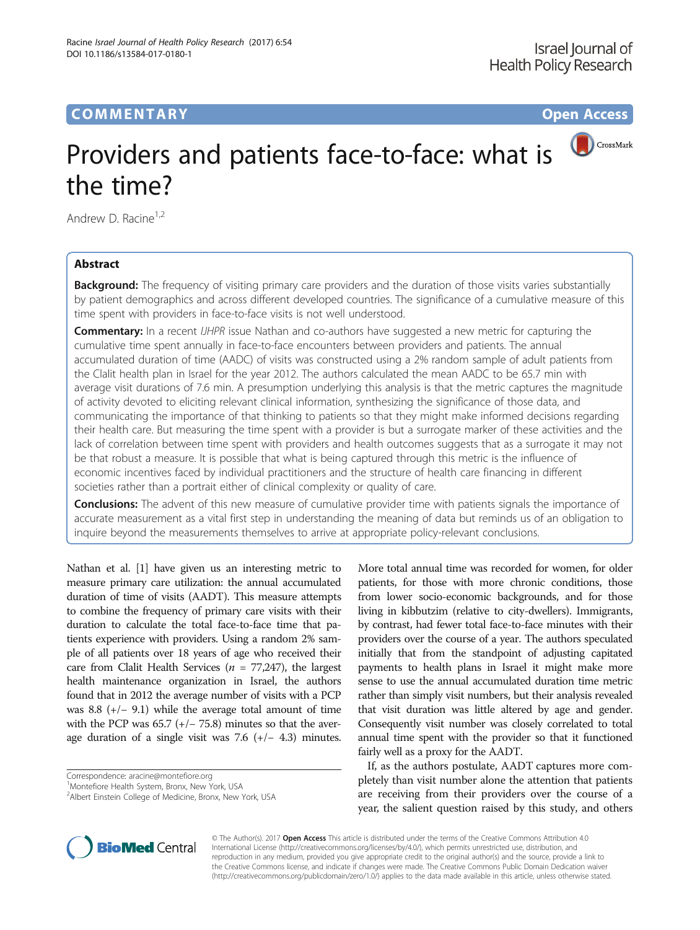# CrossMark Providers and patients face-to-face: what is the time?

Andrew D. Racine<sup>1,2</sup>

# Abstract

**Background:** The frequency of visiting primary care providers and the duration of those visits varies substantially by patient demographics and across different developed countries. The significance of a cumulative measure of this time spent with providers in face-to-face visits is not well understood.

**Commentary:** In a recent *IJHPR* issue Nathan and co-authors have suggested a new metric for capturing the cumulative time spent annually in face-to-face encounters between providers and patients. The annual accumulated duration of time (AADC) of visits was constructed using a 2% random sample of adult patients from the Clalit health plan in Israel for the year 2012. The authors calculated the mean AADC to be 65.7 min with average visit durations of 7.6 min. A presumption underlying this analysis is that the metric captures the magnitude of activity devoted to eliciting relevant clinical information, synthesizing the significance of those data, and communicating the importance of that thinking to patients so that they might make informed decisions regarding their health care. But measuring the time spent with a provider is but a surrogate marker of these activities and the lack of correlation between time spent with providers and health outcomes suggests that as a surrogate it may not be that robust a measure. It is possible that what is being captured through this metric is the influence of economic incentives faced by individual practitioners and the structure of health care financing in different societies rather than a portrait either of clinical complexity or quality of care.

**Conclusions:** The advent of this new measure of cumulative provider time with patients signals the importance of accurate measurement as a vital first step in understanding the meaning of data but reminds us of an obligation to inquire beyond the measurements themselves to arrive at appropriate policy-relevant conclusions.

Nathan et al. [[1](#page-2-0)] have given us an interesting metric to measure primary care utilization: the annual accumulated duration of time of visits (AADT). This measure attempts to combine the frequency of primary care visits with their duration to calculate the total face-to-face time that patients experience with providers. Using a random 2% sample of all patients over 18 years of age who received their care from Clalit Health Services ( $n = 77,247$ ), the largest health maintenance organization in Israel, the authors found that in 2012 the average number of visits with a PCP was 8.8  $(+/- 9.1)$  while the average total amount of time with the PCP was  $65.7$  (+/- 75.8) minutes so that the average duration of a single visit was 7.6  $(+/- 4.3)$  minutes.

More total annual time was recorded for women, for older patients, for those with more chronic conditions, those from lower socio-economic backgrounds, and for those living in kibbutzim (relative to city-dwellers). Immigrants, by contrast, had fewer total face-to-face minutes with their providers over the course of a year. The authors speculated initially that from the standpoint of adjusting capitated payments to health plans in Israel it might make more sense to use the annual accumulated duration time metric rather than simply visit numbers, but their analysis revealed that visit duration was little altered by age and gender. Consequently visit number was closely correlated to total annual time spent with the provider so that it functioned fairly well as a proxy for the AADT.

If, as the authors postulate, AADT captures more completely than visit number alone the attention that patients are receiving from their providers over the course of a year, the salient question raised by this study, and others



© The Author(s). 2017 **Open Access** This article is distributed under the terms of the Creative Commons Attribution 4.0 International License [\(http://creativecommons.org/licenses/by/4.0/](http://creativecommons.org/licenses/by/4.0/)), which permits unrestricted use, distribution, and reproduction in any medium, provided you give appropriate credit to the original author(s) and the source, provide a link to the Creative Commons license, and indicate if changes were made. The Creative Commons Public Domain Dedication waiver [\(http://creativecommons.org/publicdomain/zero/1.0/](http://creativecommons.org/publicdomain/zero/1.0/)) applies to the data made available in this article, unless otherwise stated.

Correspondence: [aracine@montefiore.org](mailto:aracine@montefiore.org) <sup>1</sup>

Montefiore Health System, Bronx, New York, USA

<sup>&</sup>lt;sup>2</sup> Albert Einstein College of Medicine, Bronx, New York, USA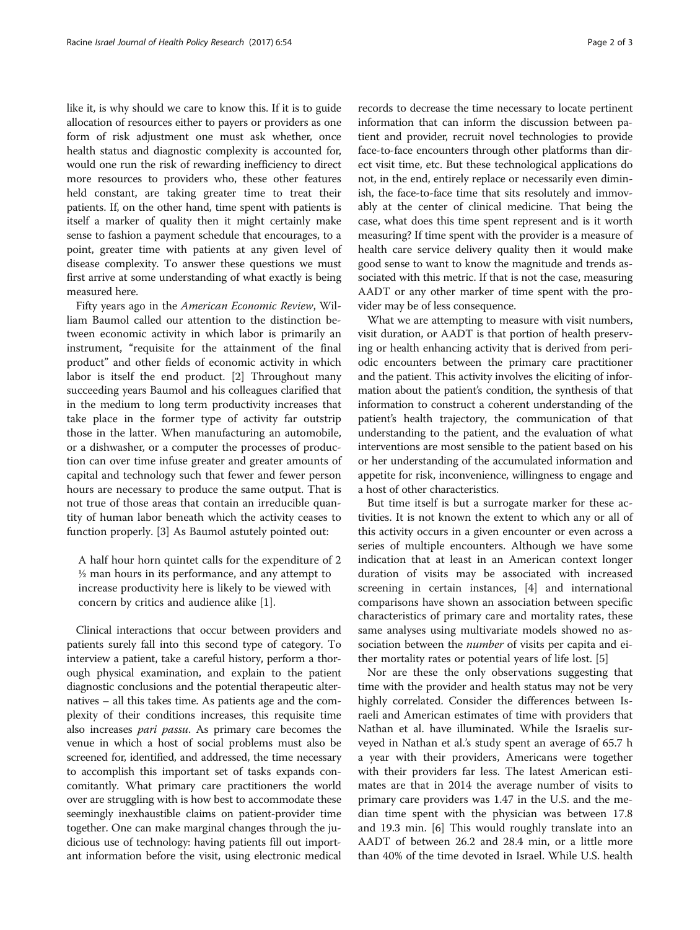like it, is why should we care to know this. If it is to guide allocation of resources either to payers or providers as one form of risk adjustment one must ask whether, once health status and diagnostic complexity is accounted for, would one run the risk of rewarding inefficiency to direct more resources to providers who, these other features held constant, are taking greater time to treat their patients. If, on the other hand, time spent with patients is itself a marker of quality then it might certainly make sense to fashion a payment schedule that encourages, to a point, greater time with patients at any given level of disease complexity. To answer these questions we must first arrive at some understanding of what exactly is being measured here.

Fifty years ago in the American Economic Review, William Baumol called our attention to the distinction between economic activity in which labor is primarily an instrument, "requisite for the attainment of the final product" and other fields of economic activity in which labor is itself the end product. [\[2](#page-2-0)] Throughout many succeeding years Baumol and his colleagues clarified that in the medium to long term productivity increases that take place in the former type of activity far outstrip those in the latter. When manufacturing an automobile, or a dishwasher, or a computer the processes of production can over time infuse greater and greater amounts of capital and technology such that fewer and fewer person hours are necessary to produce the same output. That is not true of those areas that contain an irreducible quantity of human labor beneath which the activity ceases to function properly. [\[3](#page-2-0)] As Baumol astutely pointed out:

A half hour horn quintet calls for the expenditure of 2 ½ man hours in its performance, and any attempt to increase productivity here is likely to be viewed with concern by critics and audience alike [\[1](#page-2-0)].

Clinical interactions that occur between providers and patients surely fall into this second type of category. To interview a patient, take a careful history, perform a thorough physical examination, and explain to the patient diagnostic conclusions and the potential therapeutic alternatives – all this takes time. As patients age and the complexity of their conditions increases, this requisite time also increases pari passu. As primary care becomes the venue in which a host of social problems must also be screened for, identified, and addressed, the time necessary to accomplish this important set of tasks expands concomitantly. What primary care practitioners the world over are struggling with is how best to accommodate these seemingly inexhaustible claims on patient-provider time together. One can make marginal changes through the judicious use of technology: having patients fill out important information before the visit, using electronic medical records to decrease the time necessary to locate pertinent information that can inform the discussion between patient and provider, recruit novel technologies to provide face-to-face encounters through other platforms than direct visit time, etc. But these technological applications do not, in the end, entirely replace or necessarily even diminish, the face-to-face time that sits resolutely and immovably at the center of clinical medicine. That being the case, what does this time spent represent and is it worth measuring? If time spent with the provider is a measure of health care service delivery quality then it would make good sense to want to know the magnitude and trends associated with this metric. If that is not the case, measuring AADT or any other marker of time spent with the provider may be of less consequence.

What we are attempting to measure with visit numbers, visit duration, or AADT is that portion of health preserving or health enhancing activity that is derived from periodic encounters between the primary care practitioner and the patient. This activity involves the eliciting of information about the patient's condition, the synthesis of that information to construct a coherent understanding of the patient's health trajectory, the communication of that understanding to the patient, and the evaluation of what interventions are most sensible to the patient based on his or her understanding of the accumulated information and appetite for risk, inconvenience, willingness to engage and a host of other characteristics.

But time itself is but a surrogate marker for these activities. It is not known the extent to which any or all of this activity occurs in a given encounter or even across a series of multiple encounters. Although we have some indication that at least in an American context longer duration of visits may be associated with increased screening in certain instances, [[4\]](#page-2-0) and international comparisons have shown an association between specific characteristics of primary care and mortality rates, these same analyses using multivariate models showed no association between the *number* of visits per capita and either mortality rates or potential years of life lost. [\[5\]](#page-2-0)

Nor are these the only observations suggesting that time with the provider and health status may not be very highly correlated. Consider the differences between Israeli and American estimates of time with providers that Nathan et al. have illuminated. While the Israelis surveyed in Nathan et al.'s study spent an average of 65.7 h a year with their providers, Americans were together with their providers far less. The latest American estimates are that in 2014 the average number of visits to primary care providers was 1.47 in the U.S. and the median time spent with the physician was between 17.8 and 19.3 min. [\[6](#page-2-0)] This would roughly translate into an AADT of between 26.2 and 28.4 min, or a little more than 40% of the time devoted in Israel. While U.S. health